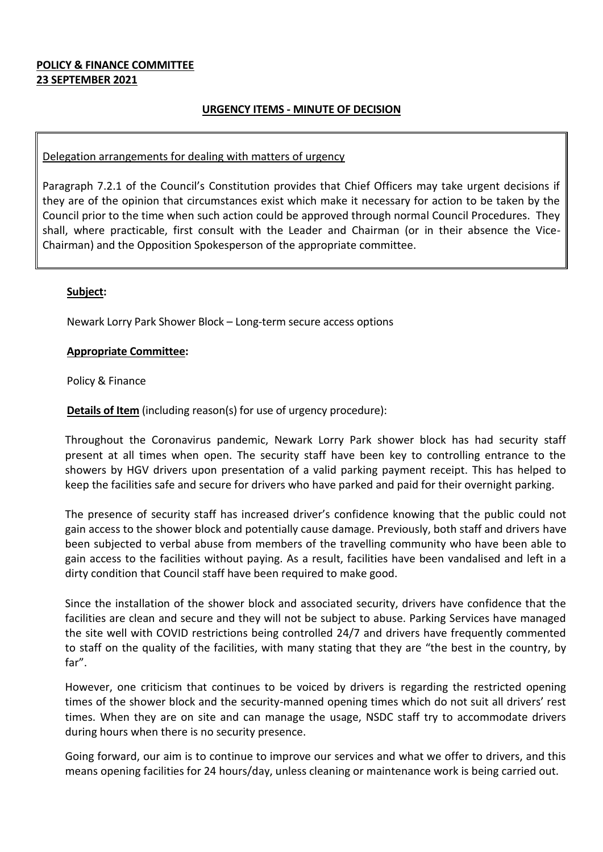## **POLICY & FINANCE COMMITTEE 23 SEPTEMBER 2021**

## **URGENCY ITEMS - MINUTE OF DECISION**

#### Delegation arrangements for dealing with matters of urgency

Paragraph 7.2.1 of the Council's Constitution provides that Chief Officers may take urgent decisions if they are of the opinion that circumstances exist which make it necessary for action to be taken by the Council prior to the time when such action could be approved through normal Council Procedures. They shall, where practicable, first consult with the Leader and Chairman (or in their absence the Vice-Chairman) and the Opposition Spokesperson of the appropriate committee.

### **Subject:**

Newark Lorry Park Shower Block – Long-term secure access options

#### **Appropriate Committee:**

Policy & Finance

**Details of Item** (including reason(s) for use of urgency procedure):

Throughout the Coronavirus pandemic, Newark Lorry Park shower block has had security staff present at all times when open. The security staff have been key to controlling entrance to the showers by HGV drivers upon presentation of a valid parking payment receipt. This has helped to keep the facilities safe and secure for drivers who have parked and paid for their overnight parking.

The presence of security staff has increased driver's confidence knowing that the public could not gain access to the shower block and potentially cause damage. Previously, both staff and drivers have been subjected to verbal abuse from members of the travelling community who have been able to gain access to the facilities without paying. As a result, facilities have been vandalised and left in a dirty condition that Council staff have been required to make good.

Since the installation of the shower block and associated security, drivers have confidence that the facilities are clean and secure and they will not be subject to abuse. Parking Services have managed the site well with COVID restrictions being controlled 24/7 and drivers have frequently commented to staff on the quality of the facilities, with many stating that they are "the best in the country, by far".

However, one criticism that continues to be voiced by drivers is regarding the restricted opening times of the shower block and the security-manned opening times which do not suit all drivers' rest times. When they are on site and can manage the usage, NSDC staff try to accommodate drivers during hours when there is no security presence.

Going forward, our aim is to continue to improve our services and what we offer to drivers, and this means opening facilities for 24 hours/day, unless cleaning or maintenance work is being carried out.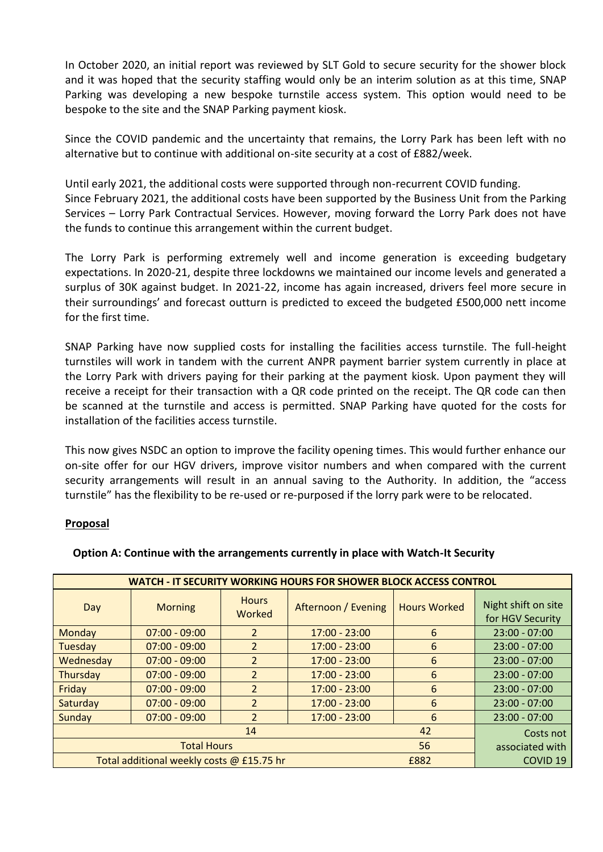In October 2020, an initial report was reviewed by SLT Gold to secure security for the shower block and it was hoped that the security staffing would only be an interim solution as at this time, SNAP Parking was developing a new bespoke turnstile access system. This option would need to be bespoke to the site and the SNAP Parking payment kiosk.

Since the COVID pandemic and the uncertainty that remains, the Lorry Park has been left with no alternative but to continue with additional on-site security at a cost of £882/week.

Until early 2021, the additional costs were supported through non-recurrent COVID funding. Since February 2021, the additional costs have been supported by the Business Unit from the Parking Services – Lorry Park Contractual Services. However, moving forward the Lorry Park does not have the funds to continue this arrangement within the current budget.

The Lorry Park is performing extremely well and income generation is exceeding budgetary expectations. In 2020-21, despite three lockdowns we maintained our income levels and generated a surplus of 30K against budget. In 2021-22, income has again increased, drivers feel more secure in their surroundings' and forecast outturn is predicted to exceed the budgeted £500,000 nett income for the first time.

SNAP Parking have now supplied costs for installing the facilities access turnstile. The full-height turnstiles will work in tandem with the current ANPR payment barrier system currently in place at the Lorry Park with drivers paying for their parking at the payment kiosk. Upon payment they will receive a receipt for their transaction with a QR code printed on the receipt. The QR code can then be scanned at the turnstile and access is permitted. SNAP Parking have quoted for the costs for installation of the facilities access turnstile.

This now gives NSDC an option to improve the facility opening times. This would further enhance our on-site offer for our HGV drivers, improve visitor numbers and when compared with the current security arrangements will result in an annual saving to the Authority. In addition, the "access turnstile" has the flexibility to be re-used or re-purposed if the lorry park were to be relocated.

### **Proposal**

| <b>WATCH - IT SECURITY WORKING HOURS FOR SHOWER BLOCK ACCESS CONTROL</b> |                 |                        |                     |                     |                                         |  |
|--------------------------------------------------------------------------|-----------------|------------------------|---------------------|---------------------|-----------------------------------------|--|
| Day                                                                      | <b>Morning</b>  | <b>Hours</b><br>Worked | Afternoon / Evening | <b>Hours Worked</b> | Night shift on site<br>for HGV Security |  |
| Monday                                                                   | $07:00 - 09:00$ | $\overline{2}$         | $17:00 - 23:00$     | 6                   | $23:00 - 07:00$                         |  |
| Tuesday                                                                  | $07:00 - 09:00$ | $\overline{2}$         | $17:00 - 23:00$     | 6                   | $23:00 - 07:00$                         |  |
| Wednesday                                                                | $07:00 - 09:00$ | $\overline{2}$         | $17:00 - 23:00$     | 6                   | $23:00 - 07:00$                         |  |
| Thursday                                                                 | $07:00 - 09:00$ | $\overline{2}$         | $17:00 - 23:00$     | 6                   | $23:00 - 07:00$                         |  |
| Friday                                                                   | $07:00 - 09:00$ | $\overline{2}$         | $17:00 - 23:00$     | 6                   | $23:00 - 07:00$                         |  |
| Saturday                                                                 | $07:00 - 09:00$ | $\overline{2}$         | $17:00 - 23:00$     | 6                   | $23:00 - 07:00$                         |  |
| Sunday                                                                   | $07:00 - 09:00$ | $\overline{2}$         | $17:00 - 23:00$     | $6\overline{6}$     | $23:00 - 07:00$                         |  |
|                                                                          | Costs not       |                        |                     |                     |                                         |  |
|                                                                          | associated with |                        |                     |                     |                                         |  |
| Total additional weekly costs @ £15.75 hr<br>£882                        |                 |                        |                     |                     | COVID <sub>19</sub>                     |  |

### **Option A: Continue with the arrangements currently in place with Watch-It Security**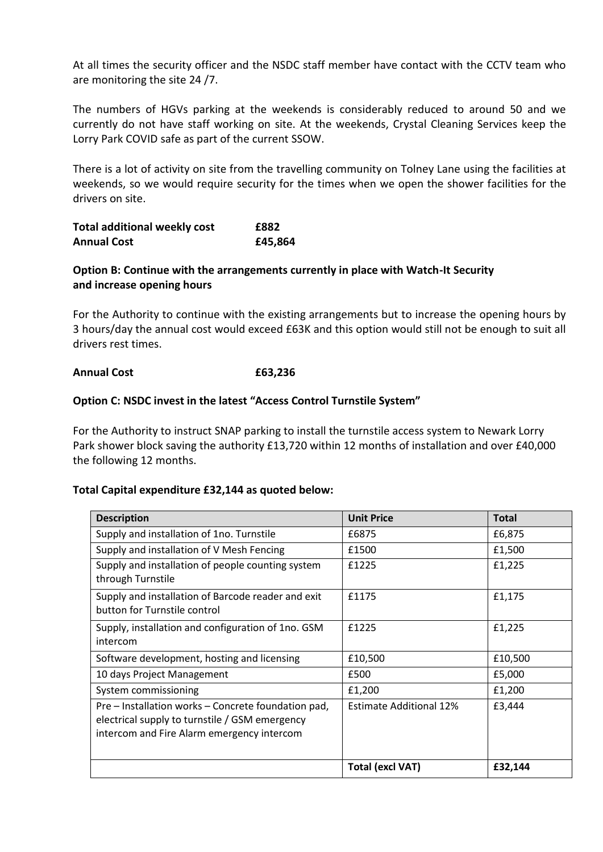At all times the security officer and the NSDC staff member have contact with the CCTV team who are monitoring the site 24 /7.

The numbers of HGVs parking at the weekends is considerably reduced to around 50 and we currently do not have staff working on site. At the weekends, Crystal Cleaning Services keep the Lorry Park COVID safe as part of the current SSOW.

There is a lot of activity on site from the travelling community on Tolney Lane using the facilities at weekends, so we would require security for the times when we open the shower facilities for the drivers on site.

| <b>Total additional weekly cost</b> | £882    |
|-------------------------------------|---------|
| <b>Annual Cost</b>                  | £45,864 |

# **Option B: Continue with the arrangements currently in place with Watch-It Security and increase opening hours**

For the Authority to continue with the existing arrangements but to increase the opening hours by 3 hours/day the annual cost would exceed £63K and this option would still not be enough to suit all drivers rest times.

## **Annual Cost £63,236**

# **Option C: NSDC invest in the latest "Access Control Turnstile System"**

For the Authority to instruct SNAP parking to install the turnstile access system to Newark Lorry Park shower block saving the authority £13,720 within 12 months of installation and over £40,000 the following 12 months.

### **Total Capital expenditure £32,144 as quoted below:**

| <b>Description</b>                                                                                                                                  | <b>Unit Price</b>              | <b>Total</b> |
|-----------------------------------------------------------------------------------------------------------------------------------------------------|--------------------------------|--------------|
| Supply and installation of 1no. Turnstile                                                                                                           | £6875                          | £6,875       |
| Supply and installation of V Mesh Fencing                                                                                                           | £1500                          | £1,500       |
| Supply and installation of people counting system<br>through Turnstile                                                                              | £1225                          | £1,225       |
| Supply and installation of Barcode reader and exit<br>button for Turnstile control                                                                  | £1175                          | £1,175       |
| Supply, installation and configuration of 1no. GSM<br>intercom                                                                                      | £1225                          | £1,225       |
| Software development, hosting and licensing                                                                                                         | £10,500                        | £10,500      |
| 10 days Project Management                                                                                                                          | £500                           | £5,000       |
| System commissioning                                                                                                                                | £1,200                         | £1,200       |
| Pre - Installation works - Concrete foundation pad,<br>electrical supply to turnstile / GSM emergency<br>intercom and Fire Alarm emergency intercom | <b>Estimate Additional 12%</b> | £3,444       |
|                                                                                                                                                     | <b>Total (excl VAT)</b>        | £32,144      |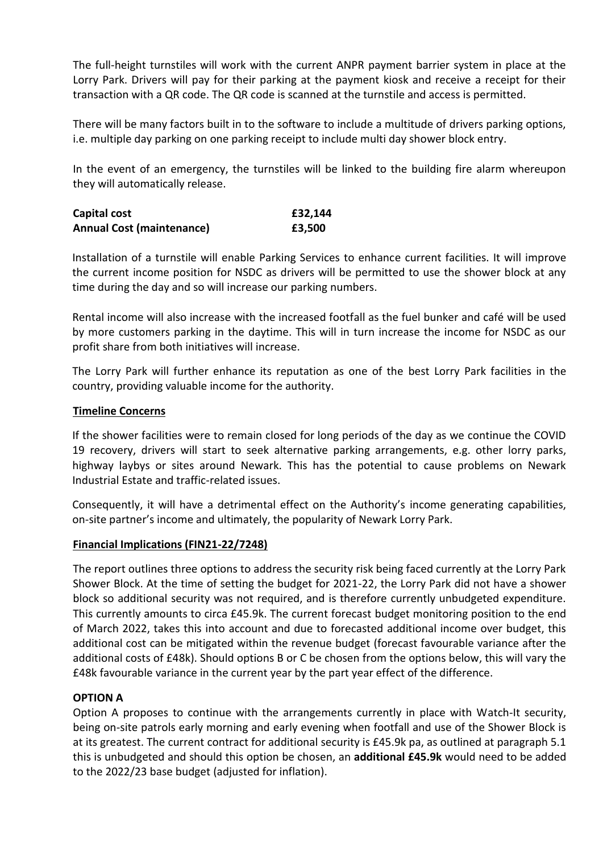The full-height turnstiles will work with the current ANPR payment barrier system in place at the Lorry Park. Drivers will pay for their parking at the payment kiosk and receive a receipt for their transaction with a QR code. The QR code is scanned at the turnstile and access is permitted.

There will be many factors built in to the software to include a multitude of drivers parking options, i.e. multiple day parking on one parking receipt to include multi day shower block entry.

In the event of an emergency, the turnstiles will be linked to the building fire alarm whereupon they will automatically release.

| Capital cost                     | £32,144 |
|----------------------------------|---------|
| <b>Annual Cost (maintenance)</b> | £3,500  |

Installation of a turnstile will enable Parking Services to enhance current facilities. It will improve the current income position for NSDC as drivers will be permitted to use the shower block at any time during the day and so will increase our parking numbers.

Rental income will also increase with the increased footfall as the fuel bunker and café will be used by more customers parking in the daytime. This will in turn increase the income for NSDC as our profit share from both initiatives will increase.

The Lorry Park will further enhance its reputation as one of the best Lorry Park facilities in the country, providing valuable income for the authority.

## **Timeline Concerns**

If the shower facilities were to remain closed for long periods of the day as we continue the COVID 19 recovery, drivers will start to seek alternative parking arrangements, e.g. other lorry parks, highway laybys or sites around Newark. This has the potential to cause problems on Newark Industrial Estate and traffic-related issues.

Consequently, it will have a detrimental effect on the Authority's income generating capabilities, on-site partner's income and ultimately, the popularity of Newark Lorry Park.

### **Financial Implications (FIN21-22/7248)**

The report outlines three options to address the security risk being faced currently at the Lorry Park Shower Block. At the time of setting the budget for 2021-22, the Lorry Park did not have a shower block so additional security was not required, and is therefore currently unbudgeted expenditure. This currently amounts to circa £45.9k. The current forecast budget monitoring position to the end of March 2022, takes this into account and due to forecasted additional income over budget, this additional cost can be mitigated within the revenue budget (forecast favourable variance after the additional costs of £48k). Should options B or C be chosen from the options below, this will vary the £48k favourable variance in the current year by the part year effect of the difference.

### **OPTION A**

Option A proposes to continue with the arrangements currently in place with Watch-It security, being on-site patrols early morning and early evening when footfall and use of the Shower Block is at its greatest. The current contract for additional security is £45.9k pa, as outlined at paragraph 5.1 this is unbudgeted and should this option be chosen, an **additional £45.9k** would need to be added to the 2022/23 base budget (adjusted for inflation).